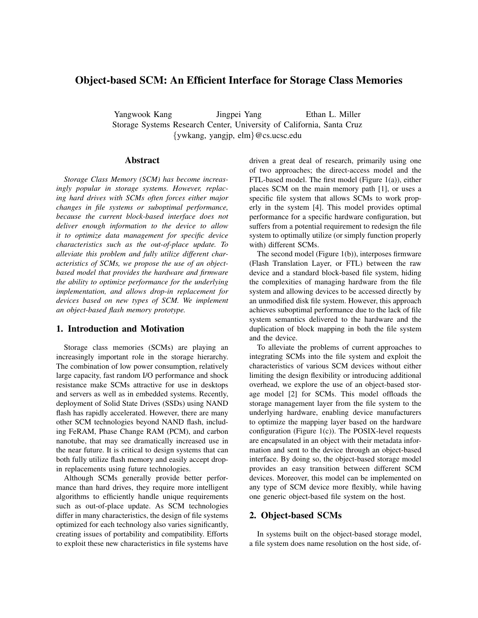# Object-based SCM: An Efficient Interface for Storage Class Memories

Yangwook Kang Jingpei Yang Ethan L. Miller Storage Systems Research Center, University of California, Santa Cruz {ywkang, yangjp, elm}@cs.ucsc.edu

### Abstract

*Storage Class Memory (SCM) has become increasingly popular in storage systems. However, replacing hard drives with SCMs often forces either major changes in file systems or suboptimal performance, because the current block-based interface does not deliver enough information to the device to allow it to optimize data management for specific device characteristics such as the out-of-place update. To alleviate this problem and fully utilize different characteristics of SCMs, we propose the use of an objectbased model that provides the hardware and firmware the ability to optimize performance for the underlying implementation, and allows drop-in replacement for devices based on new types of SCM. We implement an object-based flash memory prototype.*

### 1. Introduction and Motivation

Storage class memories (SCMs) are playing an increasingly important role in the storage hierarchy. The combination of low power consumption, relatively large capacity, fast random I/O performance and shock resistance make SCMs attractive for use in desktops and servers as well as in embedded systems. Recently, deployment of Solid State Drives (SSDs) using NAND flash has rapidly accelerated. However, there are many other SCM technologies beyond NAND flash, including FeRAM, Phase Change RAM (PCM), and carbon nanotube, that may see dramatically increased use in the near future. It is critical to design systems that can both fully utilize flash memory and easily accept dropin replacements using future technologies.

Although SCMs generally provide better performance than hard drives, they require more intelligent algorithms to efficiently handle unique requirements such as out-of-place update. As SCM technologies differ in many characteristics, the design of file systems optimized for each technology also varies significantly, creating issues of portability and compatibility. Efforts to exploit these new characteristics in file systems have driven a great deal of research, primarily using one of two approaches; the direct-access model and the FTL-based model. The first model (Figure 1(a)), either places SCM on the main memory path [1], or uses a specific file system that allows SCMs to work properly in the system [4]. This model provides optimal performance for a specific hardware configuration, but suffers from a potential requirement to redesign the file system to optimally utilize (or simply function properly with) different SCMs.

The second model (Figure 1(b)), interposes firmware (Flash Translation Layer, or FTL) between the raw device and a standard block-based file system, hiding the complexities of managing hardware from the file system and allowing devices to be accessed directly by an unmodified disk file system. However, this approach achieves suboptimal performance due to the lack of file system semantics delivered to the hardware and the duplication of block mapping in both the file system and the device.

To alleviate the problems of current approaches to integrating SCMs into the file system and exploit the characteristics of various SCM devices without either limiting the design flexibility or introducing additional overhead, we explore the use of an object-based storage model [2] for SCMs. This model offloads the storage management layer from the file system to the underlying hardware, enabling device manufacturers to optimize the mapping layer based on the hardware configuration (Figure 1(c)). The POSIX-level requests are encapsulated in an object with their metadata information and sent to the device through an object-based interface. By doing so, the object-based storage model provides an easy transition between different SCM devices. Moreover, this model can be implemented on any type of SCM device more flexibly, while having one generic object-based file system on the host.

## 2. Object-based SCMs

In systems built on the object-based storage model, a file system does name resolution on the host side, of-